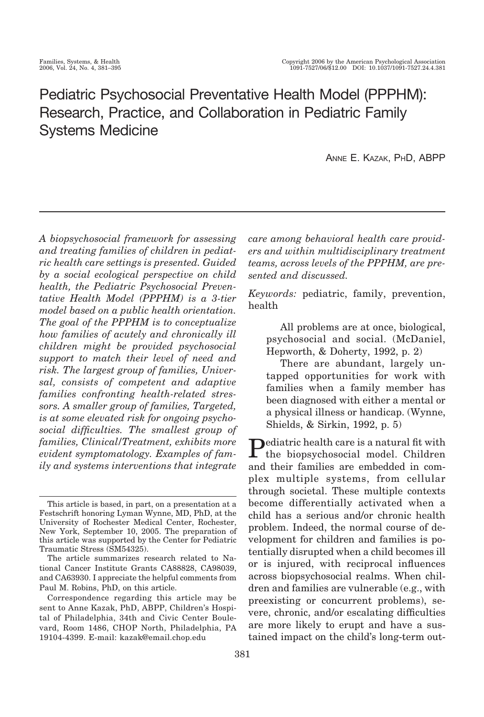# Pediatric Psychosocial Preventative Health Model (PPPHM): Research, Practice, and Collaboration in Pediatric Family Systems Medicine

ANNE E. KAZAK, PHD, ABPP

*A biopsychosocial framework for assessing and treating families of children in pediatric health care settings is presented. Guided by a social ecological perspective on child health, the Pediatric Psychosocial Preventative Health Model (PPPHM) is a 3-tier model based on a public health orientation. The goal of the PPPHM is to conceptualize how families of acutely and chronically ill children might be provided psychosocial support to match their level of need and risk. The largest group of families, Universal, consists of competent and adaptive families confronting health-related stressors. A smaller group of families, Targeted, is at some elevated risk for ongoing psychosocial difficulties. The smallest group of families, Clinical/Treatment, exhibits more evident symptomatology. Examples of family and systems interventions that integrate*

*care among behavioral health care providers and within multidisciplinary treatment teams, across levels of the PPPHM, are presented and discussed.*

*Keywords:* pediatric, family, prevention, health

All problems are at once, biological, psychosocial and social. (McDaniel, Hepworth, & Doherty, 1992, p. 2)

There are abundant, largely untapped opportunities for work with families when a family member has been diagnosed with either a mental or a physical illness or handicap. (Wynne, Shields, & Sirkin, 1992, p. 5)

**P**ediatric health care is a natural fit with the biopsychosocial model. Children and their families are embedded in complex multiple systems, from cellular through societal. These multiple contexts become differentially activated when a child has a serious and/or chronic health problem. Indeed, the normal course of development for children and families is potentially disrupted when a child becomes ill or is injured, with reciprocal influences across biopsychosocial realms. When children and families are vulnerable (e.g., with preexisting or concurrent problems), severe, chronic, and/or escalating difficulties are more likely to erupt and have a sustained impact on the child's long-term out-

This article is based, in part, on a presentation at a Festschrift honoring Lyman Wynne, MD, PhD, at the University of Rochester Medical Center, Rochester, New York, September 10, 2005. The preparation of this article was supported by the Center for Pediatric Traumatic Stress (SM54325).

The article summarizes research related to National Cancer Institute Grants CA88828, CA98039, and CA63930. I appreciate the helpful comments from Paul M. Robins, PhD, on this article.

Correspondence regarding this article may be sent to Anne Kazak, PhD, ABPP, Children's Hospital of Philadelphia, 34th and Civic Center Boulevard, Room 1486, CHOP North, Philadelphia, PA 19104-4399. E-mail: kazak@email.chop.edu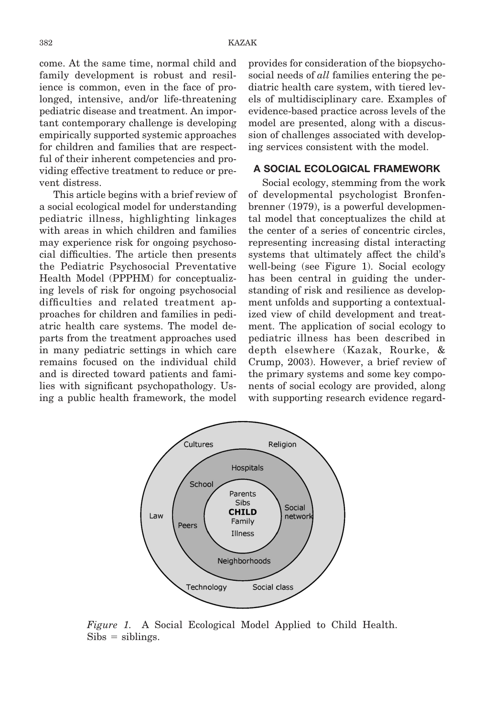come. At the same time, normal child and family development is robust and resilience is common, even in the face of prolonged, intensive, and/or life-threatening pediatric disease and treatment. An important contemporary challenge is developing empirically supported systemic approaches for children and families that are respectful of their inherent competencies and providing effective treatment to reduce or prevent distress.

This article begins with a brief review of a social ecological model for understanding pediatric illness, highlighting linkages with areas in which children and families may experience risk for ongoing psychosocial difficulties. The article then presents the Pediatric Psychosocial Preventative Health Model (PPPHM) for conceptualizing levels of risk for ongoing psychosocial difficulties and related treatment approaches for children and families in pediatric health care systems. The model departs from the treatment approaches used in many pediatric settings in which care remains focused on the individual child and is directed toward patients and families with significant psychopathology. Using a public health framework, the model

provides for consideration of the biopsychosocial needs of *all* families entering the pediatric health care system, with tiered levels of multidisciplinary care. Examples of evidence-based practice across levels of the model are presented, along with a discussion of challenges associated with developing services consistent with the model.

# **A SOCIAL ECOLOGICAL FRAMEWORK**

Social ecology, stemming from the work of developmental psychologist Bronfenbrenner (1979), is a powerful developmental model that conceptualizes the child at the center of a series of concentric circles, representing increasing distal interacting systems that ultimately affect the child's well-being (see Figure 1). Social ecology has been central in guiding the understanding of risk and resilience as development unfolds and supporting a contextualized view of child development and treatment. The application of social ecology to pediatric illness has been described in depth elsewhere (Kazak, Rourke, & Crump, 2003). However, a brief review of the primary systems and some key components of social ecology are provided, along with supporting research evidence regard-



*Figure 1.* A Social Ecological Model Applied to Child Health.  $Sibs = siblings.$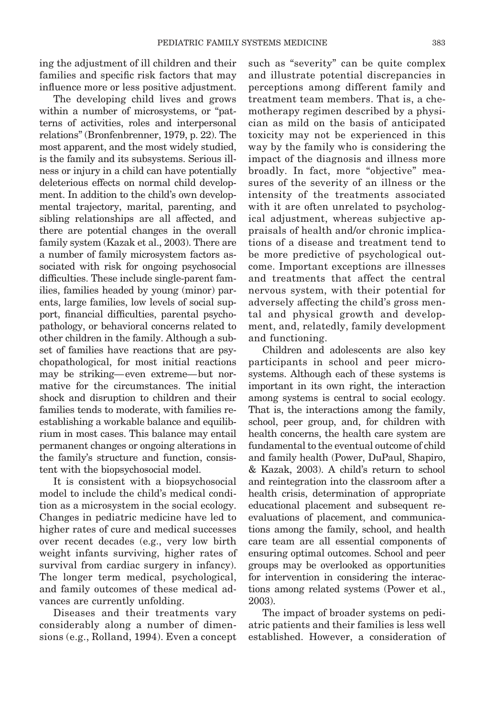ing the adjustment of ill children and their families and specific risk factors that may influence more or less positive adjustment.

The developing child lives and grows within a number of microsystems, or "patterns of activities, roles and interpersonal relations" (Bronfenbrenner, 1979, p. 22). The most apparent, and the most widely studied, is the family and its subsystems. Serious illness or injury in a child can have potentially deleterious effects on normal child development. In addition to the child's own developmental trajectory, marital, parenting, and sibling relationships are all affected, and there are potential changes in the overall family system (Kazak et al., 2003). There are a number of family microsystem factors associated with risk for ongoing psychosocial difficulties. These include single-parent families, families headed by young (minor) parents, large families, low levels of social support, financial difficulties, parental psychopathology, or behavioral concerns related to other children in the family. Although a subset of families have reactions that are psychopathological, for most initial reactions may be striking— even extreme—but normative for the circumstances. The initial shock and disruption to children and their families tends to moderate, with families reestablishing a workable balance and equilibrium in most cases. This balance may entail permanent changes or ongoing alterations in the family's structure and function, consistent with the biopsychosocial model.

It is consistent with a biopsychosocial model to include the child's medical condition as a microsystem in the social ecology. Changes in pediatric medicine have led to higher rates of cure and medical successes over recent decades (e.g., very low birth weight infants surviving, higher rates of survival from cardiac surgery in infancy). The longer term medical, psychological, and family outcomes of these medical advances are currently unfolding.

Diseases and their treatments vary considerably along a number of dimensions (e.g., Rolland, 1994). Even a concept such as "severity" can be quite complex and illustrate potential discrepancies in perceptions among different family and treatment team members. That is, a chemotherapy regimen described by a physician as mild on the basis of anticipated toxicity may not be experienced in this way by the family who is considering the impact of the diagnosis and illness more broadly. In fact, more "objective" measures of the severity of an illness or the intensity of the treatments associated with it are often unrelated to psychological adjustment, whereas subjective appraisals of health and/or chronic implications of a disease and treatment tend to be more predictive of psychological outcome. Important exceptions are illnesses and treatments that affect the central nervous system, with their potential for adversely affecting the child's gross mental and physical growth and development, and, relatedly, family development and functioning.

Children and adolescents are also key participants in school and peer microsystems. Although each of these systems is important in its own right, the interaction among systems is central to social ecology. That is, the interactions among the family, school, peer group, and, for children with health concerns, the health care system are fundamental to the eventual outcome of child and family health (Power, DuPaul, Shapiro, & Kazak, 2003). A child's return to school and reintegration into the classroom after a health crisis, determination of appropriate educational placement and subsequent reevaluations of placement, and communications among the family, school, and health care team are all essential components of ensuring optimal outcomes. School and peer groups may be overlooked as opportunities for intervention in considering the interactions among related systems (Power et al., 2003).

The impact of broader systems on pediatric patients and their families is less well established. However, a consideration of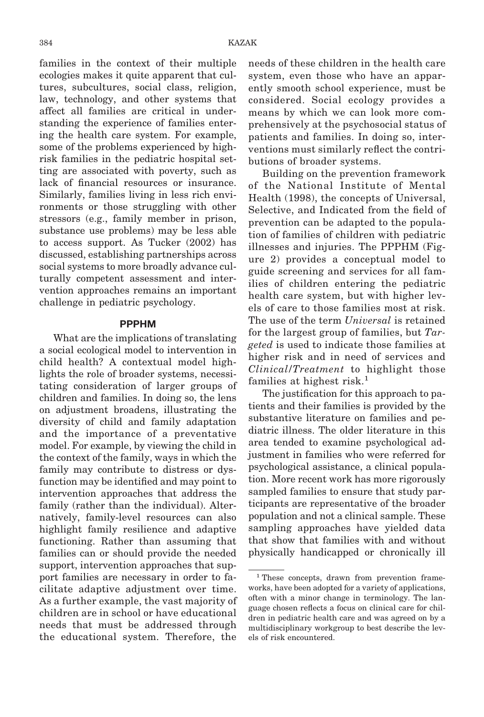families in the context of their multiple ecologies makes it quite apparent that cultures, subcultures, social class, religion, law, technology, and other systems that affect all families are critical in understanding the experience of families entering the health care system. For example, some of the problems experienced by highrisk families in the pediatric hospital setting are associated with poverty, such as lack of financial resources or insurance. Similarly, families living in less rich environments or those struggling with other stressors (e.g., family member in prison, substance use problems) may be less able to access support. As Tucker (2002) has discussed, establishing partnerships across social systems to more broadly advance culturally competent assessment and intervention approaches remains an important challenge in pediatric psychology.

#### **PPPHM**

What are the implications of translating a social ecological model to intervention in child health? A contextual model highlights the role of broader systems, necessitating consideration of larger groups of children and families. In doing so, the lens on adjustment broadens, illustrating the diversity of child and family adaptation and the importance of a preventative model. For example, by viewing the child in the context of the family, ways in which the family may contribute to distress or dysfunction may be identified and may point to intervention approaches that address the family (rather than the individual). Alternatively, family-level resources can also highlight family resilience and adaptive functioning. Rather than assuming that families can or should provide the needed support, intervention approaches that support families are necessary in order to facilitate adaptive adjustment over time. As a further example, the vast majority of children are in school or have educational needs that must be addressed through the educational system. Therefore, the

needs of these children in the health care system, even those who have an apparently smooth school experience, must be considered. Social ecology provides a means by which we can look more comprehensively at the psychosocial status of patients and families. In doing so, interventions must similarly reflect the contributions of broader systems.

Building on the prevention framework of the National Institute of Mental Health (1998), the concepts of Universal, Selective, and Indicated from the field of prevention can be adapted to the population of families of children with pediatric illnesses and injuries. The PPPHM (Figure 2) provides a conceptual model to guide screening and services for all families of children entering the pediatric health care system, but with higher levels of care to those families most at risk. The use of the term *Universal* is retained for the largest group of families, but *Targeted* is used to indicate those families at higher risk and in need of services and *Clinical/Treatment* to highlight those families at highest risk.<sup>1</sup>

The justification for this approach to patients and their families is provided by the substantive literature on families and pediatric illness. The older literature in this area tended to examine psychological adjustment in families who were referred for psychological assistance, a clinical population. More recent work has more rigorously sampled families to ensure that study participants are representative of the broader population and not a clinical sample. These sampling approaches have yielded data that show that families with and without physically handicapped or chronically ill

<sup>&</sup>lt;sup>1</sup> These concepts, drawn from prevention frameworks, have been adopted for a variety of applications, often with a minor change in terminology. The language chosen reflects a focus on clinical care for children in pediatric health care and was agreed on by a multidisciplinary workgroup to best describe the levels of risk encountered.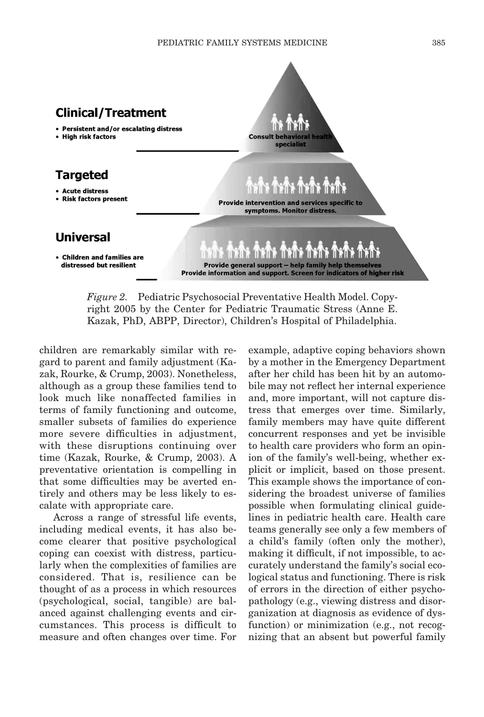

*Figure 2.* Pediatric Psychosocial Preventative Health Model. Copyright 2005 by the Center for Pediatric Traumatic Stress (Anne E. Kazak, PhD, ABPP, Director), Children's Hospital of Philadelphia.

children are remarkably similar with regard to parent and family adjustment (Kazak, Rourke, & Crump, 2003). Nonetheless, although as a group these families tend to look much like nonaffected families in terms of family functioning and outcome, smaller subsets of families do experience more severe difficulties in adjustment, with these disruptions continuing over time (Kazak, Rourke, & Crump, 2003). A preventative orientation is compelling in that some difficulties may be averted entirely and others may be less likely to escalate with appropriate care.

Across a range of stressful life events, including medical events, it has also become clearer that positive psychological coping can coexist with distress, particularly when the complexities of families are considered. That is, resilience can be thought of as a process in which resources (psychological, social, tangible) are balanced against challenging events and circumstances. This process is difficult to measure and often changes over time. For example, adaptive coping behaviors shown by a mother in the Emergency Department after her child has been hit by an automobile may not reflect her internal experience and, more important, will not capture distress that emerges over time. Similarly, family members may have quite different concurrent responses and yet be invisible to health care providers who form an opinion of the family's well-being, whether explicit or implicit, based on those present. This example shows the importance of considering the broadest universe of families possible when formulating clinical guidelines in pediatric health care. Health care teams generally see only a few members of a child's family (often only the mother), making it difficult, if not impossible, to accurately understand the family's social ecological status and functioning. There is risk of errors in the direction of either psychopathology (e.g., viewing distress and disorganization at diagnosis as evidence of dysfunction) or minimization (e.g., not recognizing that an absent but powerful family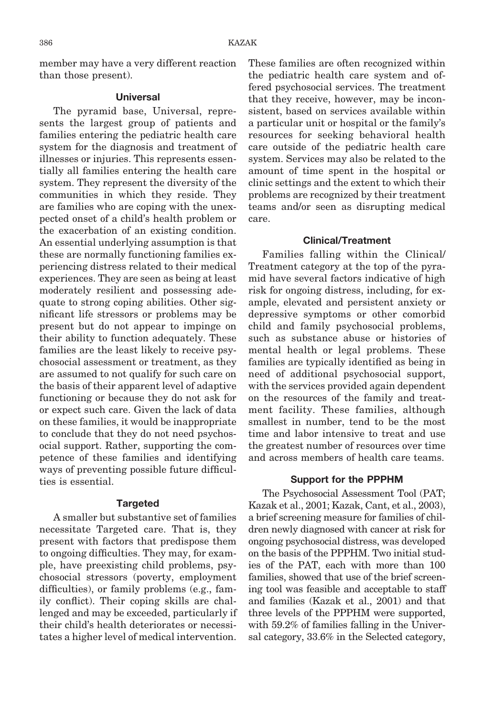member may have a very different reaction than those present).

#### **Universal**

The pyramid base, Universal, represents the largest group of patients and families entering the pediatric health care system for the diagnosis and treatment of illnesses or injuries. This represents essentially all families entering the health care system. They represent the diversity of the communities in which they reside. They are families who are coping with the unexpected onset of a child's health problem or the exacerbation of an existing condition. An essential underlying assumption is that these are normally functioning families experiencing distress related to their medical experiences. They are seen as being at least moderately resilient and possessing adequate to strong coping abilities. Other significant life stressors or problems may be present but do not appear to impinge on their ability to function adequately. These families are the least likely to receive psychosocial assessment or treatment, as they are assumed to not qualify for such care on the basis of their apparent level of adaptive functioning or because they do not ask for or expect such care. Given the lack of data on these families, it would be inappropriate to conclude that they do not need psychosocial support. Rather, supporting the competence of these families and identifying ways of preventing possible future difficulties is essential.

#### **Targeted**

A smaller but substantive set of families necessitate Targeted care. That is, they present with factors that predispose them to ongoing difficulties. They may, for example, have preexisting child problems, psychosocial stressors (poverty, employment difficulties), or family problems (e.g., family conflict). Their coping skills are challenged and may be exceeded, particularly if their child's health deteriorates or necessitates a higher level of medical intervention.

These families are often recognized within the pediatric health care system and offered psychosocial services. The treatment that they receive, however, may be inconsistent, based on services available within a particular unit or hospital or the family's resources for seeking behavioral health care outside of the pediatric health care system. Services may also be related to the amount of time spent in the hospital or clinic settings and the extent to which their problems are recognized by their treatment teams and/or seen as disrupting medical care.

#### **Clinical/Treatment**

Families falling within the Clinical/ Treatment category at the top of the pyramid have several factors indicative of high risk for ongoing distress, including, for example, elevated and persistent anxiety or depressive symptoms or other comorbid child and family psychosocial problems, such as substance abuse or histories of mental health or legal problems. These families are typically identified as being in need of additional psychosocial support, with the services provided again dependent on the resources of the family and treatment facility. These families, although smallest in number, tend to be the most time and labor intensive to treat and use the greatest number of resources over time and across members of health care teams.

#### **Support for the PPPHM**

The Psychosocial Assessment Tool (PAT; Kazak et al., 2001; Kazak, Cant, et al., 2003), a brief screening measure for families of children newly diagnosed with cancer at risk for ongoing psychosocial distress, was developed on the basis of the PPPHM. Two initial studies of the PAT, each with more than 100 families, showed that use of the brief screening tool was feasible and acceptable to staff and families (Kazak et al., 2001) and that three levels of the PPPHM were supported, with 59.2% of families falling in the Universal category, 33.6% in the Selected category,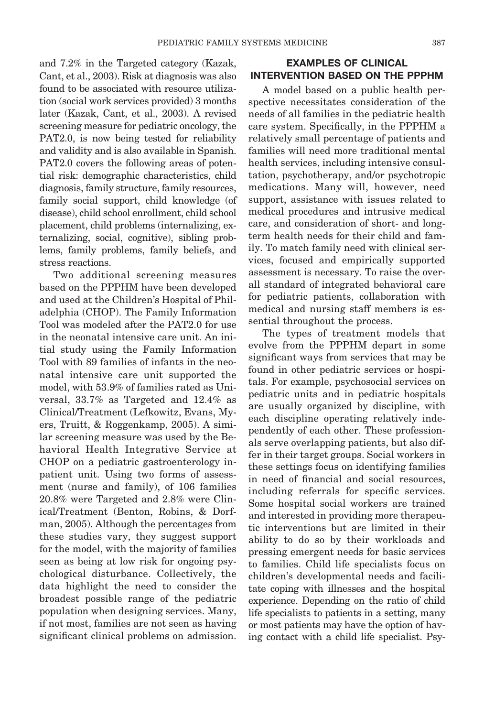and 7.2% in the Targeted category (Kazak, Cant, et al., 2003). Risk at diagnosis was also found to be associated with resource utilization (social work services provided) 3 months later (Kazak, Cant, et al., 2003). A revised screening measure for pediatric oncology, the PAT2.0, is now being tested for reliability and validity and is also available in Spanish. PAT2.0 covers the following areas of potential risk: demographic characteristics, child diagnosis, family structure, family resources, family social support, child knowledge (of disease), child school enrollment, child school placement, child problems (internalizing, externalizing, social, cognitive), sibling problems, family problems, family beliefs, and stress reactions.

Two additional screening measures based on the PPPHM have been developed and used at the Children's Hospital of Philadelphia (CHOP). The Family Information Tool was modeled after the PAT2.0 for use in the neonatal intensive care unit. An initial study using the Family Information Tool with 89 families of infants in the neonatal intensive care unit supported the model, with 53.9% of families rated as Universal, 33.7% as Targeted and 12.4% as Clinical/Treatment (Lefkowitz, Evans, Myers, Truitt, & Roggenkamp, 2005). A similar screening measure was used by the Behavioral Health Integrative Service at CHOP on a pediatric gastroenterology inpatient unit. Using two forms of assessment (nurse and family), of 106 families 20.8% were Targeted and 2.8% were Clinical/Treatment (Benton, Robins, & Dorfman, 2005). Although the percentages from these studies vary, they suggest support for the model, with the majority of families seen as being at low risk for ongoing psychological disturbance. Collectively, the data highlight the need to consider the broadest possible range of the pediatric population when designing services. Many, if not most, families are not seen as having significant clinical problems on admission.

# **EXAMPLES OF CLINICAL INTERVENTION BASED ON THE PPPHM**

A model based on a public health perspective necessitates consideration of the needs of all families in the pediatric health care system. Specifically, in the PPPHM a relatively small percentage of patients and families will need more traditional mental health services, including intensive consultation, psychotherapy, and/or psychotropic medications. Many will, however, need support, assistance with issues related to medical procedures and intrusive medical care, and consideration of short- and longterm health needs for their child and family. To match family need with clinical services, focused and empirically supported assessment is necessary. To raise the overall standard of integrated behavioral care for pediatric patients, collaboration with medical and nursing staff members is essential throughout the process.

The types of treatment models that evolve from the PPPHM depart in some significant ways from services that may be found in other pediatric services or hospitals. For example, psychosocial services on pediatric units and in pediatric hospitals are usually organized by discipline, with each discipline operating relatively independently of each other. These professionals serve overlapping patients, but also differ in their target groups. Social workers in these settings focus on identifying families in need of financial and social resources, including referrals for specific services. Some hospital social workers are trained and interested in providing more therapeutic interventions but are limited in their ability to do so by their workloads and pressing emergent needs for basic services to families. Child life specialists focus on children's developmental needs and facilitate coping with illnesses and the hospital experience. Depending on the ratio of child life specialists to patients in a setting, many or most patients may have the option of having contact with a child life specialist. Psy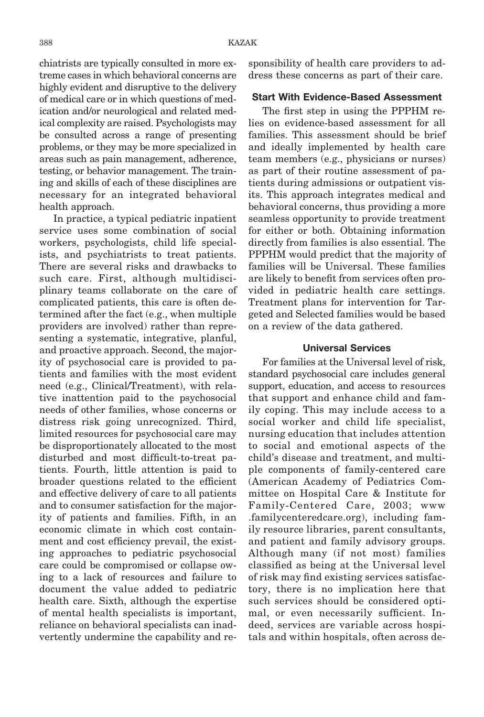chiatrists are typically consulted in more extreme cases in which behavioral concerns are highly evident and disruptive to the delivery of medical care or in which questions of medication and/or neurological and related medical complexity are raised. Psychologists may be consulted across a range of presenting problems, or they may be more specialized in areas such as pain management, adherence, testing, or behavior management. The training and skills of each of these disciplines are necessary for an integrated behavioral health approach.

In practice, a typical pediatric inpatient service uses some combination of social workers, psychologists, child life specialists, and psychiatrists to treat patients. There are several risks and drawbacks to such care. First, although multidisciplinary teams collaborate on the care of complicated patients, this care is often determined after the fact (e.g., when multiple providers are involved) rather than representing a systematic, integrative, planful, and proactive approach. Second, the majority of psychosocial care is provided to patients and families with the most evident need (e.g., Clinical/Treatment), with relative inattention paid to the psychosocial needs of other families, whose concerns or distress risk going unrecognized. Third, limited resources for psychosocial care may be disproportionately allocated to the most disturbed and most difficult-to-treat patients. Fourth, little attention is paid to broader questions related to the efficient and effective delivery of care to all patients and to consumer satisfaction for the majority of patients and families. Fifth, in an economic climate in which cost containment and cost efficiency prevail, the existing approaches to pediatric psychosocial care could be compromised or collapse owing to a lack of resources and failure to document the value added to pediatric health care. Sixth, although the expertise of mental health specialists is important, reliance on behavioral specialists can inadvertently undermine the capability and responsibility of health care providers to address these concerns as part of their care.

#### **Start With Evidence-Based Assessment**

The first step in using the PPPHM relies on evidence-based assessment for all families. This assessment should be brief and ideally implemented by health care team members (e.g., physicians or nurses) as part of their routine assessment of patients during admissions or outpatient visits. This approach integrates medical and behavioral concerns, thus providing a more seamless opportunity to provide treatment for either or both. Obtaining information directly from families is also essential. The PPPHM would predict that the majority of families will be Universal. These families are likely to benefit from services often provided in pediatric health care settings. Treatment plans for intervention for Targeted and Selected families would be based on a review of the data gathered.

#### **Universal Services**

For families at the Universal level of risk, standard psychosocial care includes general support, education, and access to resources that support and enhance child and family coping. This may include access to a social worker and child life specialist, nursing education that includes attention to social and emotional aspects of the child's disease and treatment, and multiple components of family-centered care (American Academy of Pediatrics Committee on Hospital Care & Institute for Family-Centered Care, 2003; www .familycenteredcare.org), including family resource libraries, parent consultants, and patient and family advisory groups. Although many (if not most) families classified as being at the Universal level of risk may find existing services satisfactory, there is no implication here that such services should be considered optimal, or even necessarily sufficient. Indeed, services are variable across hospitals and within hospitals, often across de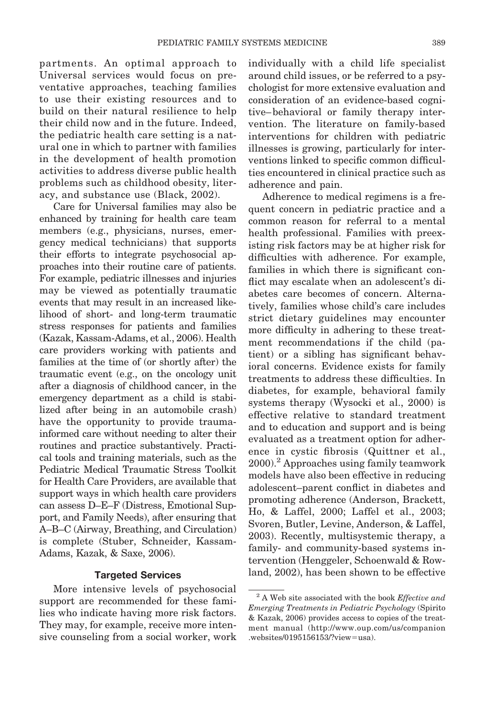partments. An optimal approach to Universal services would focus on preventative approaches, teaching families to use their existing resources and to build on their natural resilience to help their child now and in the future. Indeed, the pediatric health care setting is a natural one in which to partner with families in the development of health promotion activities to address diverse public health problems such as childhood obesity, literacy, and substance use (Black, 2002).

Care for Universal families may also be enhanced by training for health care team members (e.g., physicians, nurses, emergency medical technicians) that supports their efforts to integrate psychosocial approaches into their routine care of patients. For example, pediatric illnesses and injuries may be viewed as potentially traumatic events that may result in an increased likelihood of short- and long-term traumatic stress responses for patients and families (Kazak, Kassam-Adams, et al., 2006). Health care providers working with patients and families at the time of (or shortly after) the traumatic event (e.g., on the oncology unit after a diagnosis of childhood cancer, in the emergency department as a child is stabilized after being in an automobile crash) have the opportunity to provide traumainformed care without needing to alter their routines and practice substantively. Practical tools and training materials, such as the Pediatric Medical Traumatic Stress Toolkit for Health Care Providers, are available that support ways in which health care providers can assess D–E–F (Distress, Emotional Support, and Family Needs), after ensuring that A–B–C (Airway, Breathing, and Circulation) is complete (Stuber, Schneider, Kassam-Adams, Kazak, & Saxe, 2006).

#### **Targeted Services**

More intensive levels of psychosocial support are recommended for these families who indicate having more risk factors. They may, for example, receive more intensive counseling from a social worker, work individually with a child life specialist around child issues, or be referred to a psychologist for more extensive evaluation and consideration of an evidence-based cognitive– behavioral or family therapy intervention. The literature on family-based interventions for children with pediatric illnesses is growing, particularly for interventions linked to specific common difficulties encountered in clinical practice such as adherence and pain.

Adherence to medical regimens is a frequent concern in pediatric practice and a common reason for referral to a mental health professional. Families with preexisting risk factors may be at higher risk for difficulties with adherence. For example, families in which there is significant conflict may escalate when an adolescent's diabetes care becomes of concern. Alternatively, families whose child's care includes strict dietary guidelines may encounter more difficulty in adhering to these treatment recommendations if the child (patient) or a sibling has significant behavioral concerns. Evidence exists for family treatments to address these difficulties. In diabetes, for example, behavioral family systems therapy (Wysocki et al., 2000) is effective relative to standard treatment and to education and support and is being evaluated as a treatment option for adherence in cystic fibrosis (Quittner et al., 2000).2 Approaches using family teamwork models have also been effective in reducing adolescent–parent conflict in diabetes and promoting adherence (Anderson, Brackett, Ho, & Laffel, 2000; Laffel et al., 2003; Svoren, Butler, Levine, Anderson, & Laffel, 2003). Recently, multisystemic therapy, a family- and community-based systems intervention (Henggeler, Schoenwald & Rowland, 2002), has been shown to be effective

<sup>2</sup> A Web site associated with the book *Effective and Emerging Treatments in Pediatric Psychology* (Spirito & Kazak, 2006) provides access to copies of the treatment manual (http://www.oup.com/us/companion .websites/0195156153/?view=usa).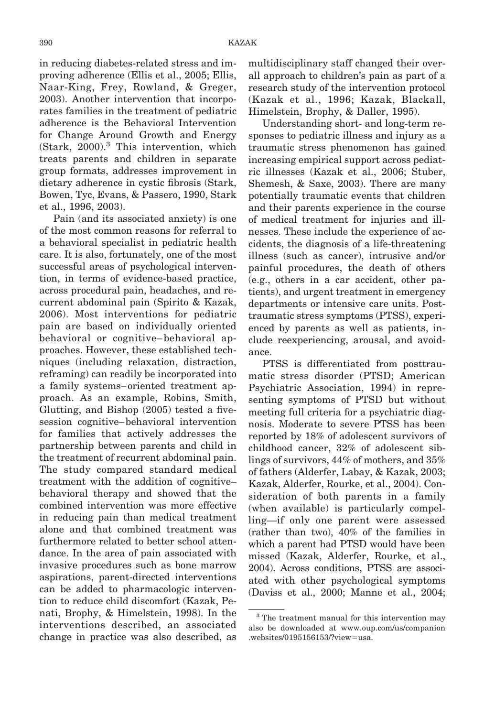in reducing diabetes-related stress and improving adherence (Ellis et al., 2005; Ellis, Naar-King, Frey, Rowland, & Greger, 2003). Another intervention that incorporates families in the treatment of pediatric adherence is the Behavioral Intervention for Change Around Growth and Energy (Stark, 2000).<sup>3</sup> This intervention, which treats parents and children in separate group formats, addresses improvement in dietary adherence in cystic fibrosis (Stark, Bowen, Tyc, Evans, & Passero, 1990, Stark et al., 1996, 2003).

Pain (and its associated anxiety) is one of the most common reasons for referral to a behavioral specialist in pediatric health care. It is also, fortunately, one of the most successful areas of psychological intervention, in terms of evidence-based practice, across procedural pain, headaches, and recurrent abdominal pain (Spirito & Kazak, 2006). Most interventions for pediatric pain are based on individually oriented behavioral or cognitive– behavioral approaches. However, these established techniques (including relaxation, distraction, reframing) can readily be incorporated into a family systems– oriented treatment approach. As an example, Robins, Smith, Glutting, and Bishop (2005) tested a fivesession cognitive– behavioral intervention for families that actively addresses the partnership between parents and child in the treatment of recurrent abdominal pain. The study compared standard medical treatment with the addition of cognitive– behavioral therapy and showed that the combined intervention was more effective in reducing pain than medical treatment alone and that combined treatment was furthermore related to better school attendance. In the area of pain associated with invasive procedures such as bone marrow aspirations, parent-directed interventions can be added to pharmacologic intervention to reduce child discomfort (Kazak, Penati, Brophy, & Himelstein, 1998). In the interventions described, an associated change in practice was also described, as multidisciplinary staff changed their overall approach to children's pain as part of a research study of the intervention protocol (Kazak et al., 1996; Kazak, Blackall, Himelstein, Brophy, & Daller, 1995).

Understanding short- and long-term responses to pediatric illness and injury as a traumatic stress phenomenon has gained increasing empirical support across pediatric illnesses (Kazak et al., 2006; Stuber, Shemesh, & Saxe, 2003). There are many potentially traumatic events that children and their parents experience in the course of medical treatment for injuries and illnesses. These include the experience of accidents, the diagnosis of a life-threatening illness (such as cancer), intrusive and/or painful procedures, the death of others (e.g., others in a car accident, other patients), and urgent treatment in emergency departments or intensive care units. Posttraumatic stress symptoms (PTSS), experienced by parents as well as patients, include reexperiencing, arousal, and avoidance.

PTSS is differentiated from posttraumatic stress disorder (PTSD; American Psychiatric Association, 1994) in representing symptoms of PTSD but without meeting full criteria for a psychiatric diagnosis. Moderate to severe PTSS has been reported by 18% of adolescent survivors of childhood cancer, 32% of adolescent siblings of survivors, 44% of mothers, and 35% of fathers (Alderfer, Labay, & Kazak, 2003; Kazak, Alderfer, Rourke, et al., 2004). Consideration of both parents in a family (when available) is particularly compelling—if only one parent were assessed (rather than two), 40% of the families in which a parent had PTSD would have been missed (Kazak, Alderfer, Rourke, et al., 2004). Across conditions, PTSS are associated with other psychological symptoms (Daviss et al., 2000; Manne et al., 2004;

<sup>&</sup>lt;sup>3</sup> The treatment manual for this intervention may also be downloaded at www.oup.com/us/companion .websites/0195156153/?view=usa.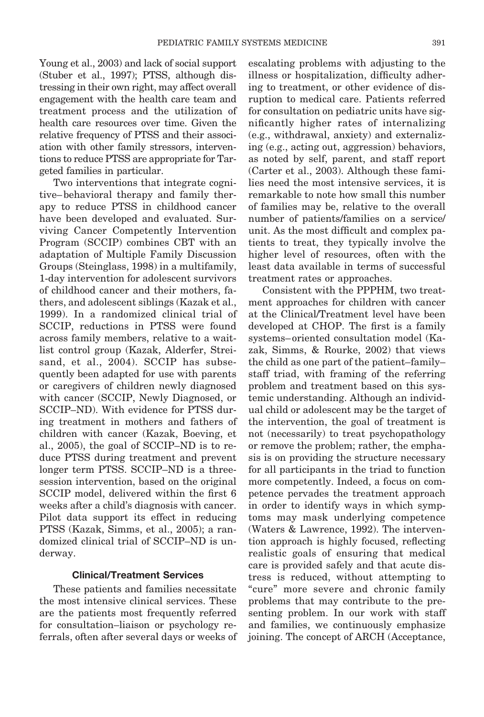Young et al., 2003) and lack of social support (Stuber et al., 1997); PTSS, although distressing in their own right, may affect overall engagement with the health care team and treatment process and the utilization of health care resources over time. Given the relative frequency of PTSS and their association with other family stressors, interventions to reduce PTSS are appropriate for Targeted families in particular.

Two interventions that integrate cognitive– behavioral therapy and family therapy to reduce PTSS in childhood cancer have been developed and evaluated. Surviving Cancer Competently Intervention Program (SCCIP) combines CBT with an adaptation of Multiple Family Discussion Groups (Steinglass, 1998) in a multifamily, 1-day intervention for adolescent survivors of childhood cancer and their mothers, fathers, and adolescent siblings (Kazak et al., 1999). In a randomized clinical trial of SCCIP, reductions in PTSS were found across family members, relative to a waitlist control group (Kazak, Alderfer, Streisand, et al., 2004). SCCIP has subsequently been adapted for use with parents or caregivers of children newly diagnosed with cancer (SCCIP, Newly Diagnosed, or SCCIP–ND). With evidence for PTSS during treatment in mothers and fathers of children with cancer (Kazak, Boeving, et al., 2005), the goal of SCCIP–ND is to reduce PTSS during treatment and prevent longer term PTSS. SCCIP–ND is a threesession intervention, based on the original SCCIP model, delivered within the first 6 weeks after a child's diagnosis with cancer. Pilot data support its effect in reducing PTSS (Kazak, Simms, et al., 2005); a randomized clinical trial of SCCIP–ND is underway.

## **Clinical/Treatment Services**

These patients and families necessitate the most intensive clinical services. These are the patients most frequently referred for consultation–liaison or psychology referrals, often after several days or weeks of escalating problems with adjusting to the illness or hospitalization, difficulty adhering to treatment, or other evidence of disruption to medical care. Patients referred for consultation on pediatric units have significantly higher rates of internalizing (e.g., withdrawal, anxiety) and externalizing (e.g., acting out, aggression) behaviors, as noted by self, parent, and staff report (Carter et al., 2003). Although these families need the most intensive services, it is remarkable to note how small this number of families may be, relative to the overall number of patients/families on a service/ unit. As the most difficult and complex patients to treat, they typically involve the higher level of resources, often with the least data available in terms of successful treatment rates or approaches.

Consistent with the PPPHM, two treatment approaches for children with cancer at the Clinical/Treatment level have been developed at CHOP. The first is a family systems– oriented consultation model (Kazak, Simms, & Rourke, 2002) that views the child as one part of the patient–family– staff triad, with framing of the referring problem and treatment based on this systemic understanding. Although an individual child or adolescent may be the target of the intervention, the goal of treatment is not (necessarily) to treat psychopathology or remove the problem; rather, the emphasis is on providing the structure necessary for all participants in the triad to function more competently. Indeed, a focus on competence pervades the treatment approach in order to identify ways in which symptoms may mask underlying competence (Waters & Lawrence, 1992). The intervention approach is highly focused, reflecting realistic goals of ensuring that medical care is provided safely and that acute distress is reduced, without attempting to "cure" more severe and chronic family problems that may contribute to the presenting problem. In our work with staff and families, we continuously emphasize joining. The concept of ARCH (Acceptance,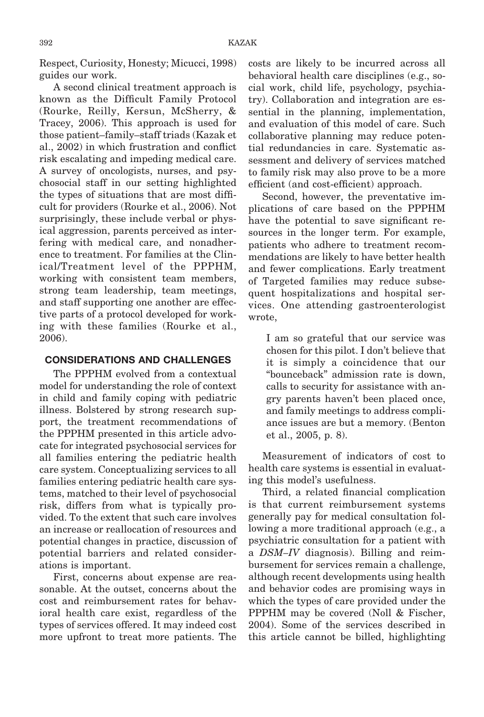Respect, Curiosity, Honesty; Micucci, 1998) guides our work.

A second clinical treatment approach is known as the Difficult Family Protocol (Rourke, Reilly, Kersun, McSherry, & Tracey, 2006). This approach is used for those patient–family–staff triads (Kazak et al., 2002) in which frustration and conflict risk escalating and impeding medical care. A survey of oncologists, nurses, and psychosocial staff in our setting highlighted the types of situations that are most difficult for providers (Rourke et al., 2006). Not surprisingly, these include verbal or physical aggression, parents perceived as interfering with medical care, and nonadherence to treatment. For families at the Clinical/Treatment level of the PPPHM, working with consistent team members, strong team leadership, team meetings, and staff supporting one another are effective parts of a protocol developed for working with these families (Rourke et al., 2006).

# **CONSIDERATIONS AND CHALLENGES**

The PPPHM evolved from a contextual model for understanding the role of context in child and family coping with pediatric illness. Bolstered by strong research support, the treatment recommendations of the PPPHM presented in this article advocate for integrated psychosocial services for all families entering the pediatric health care system. Conceptualizing services to all families entering pediatric health care systems, matched to their level of psychosocial risk, differs from what is typically provided. To the extent that such care involves an increase or reallocation of resources and potential changes in practice, discussion of potential barriers and related considerations is important.

First, concerns about expense are reasonable. At the outset, concerns about the cost and reimbursement rates for behavioral health care exist, regardless of the types of services offered. It may indeed cost more upfront to treat more patients. The

costs are likely to be incurred across all behavioral health care disciplines (e.g., social work, child life, psychology, psychiatry). Collaboration and integration are essential in the planning, implementation, and evaluation of this model of care. Such collaborative planning may reduce potential redundancies in care. Systematic assessment and delivery of services matched to family risk may also prove to be a more efficient (and cost-efficient) approach.

Second, however, the preventative implications of care based on the PPPHM have the potential to save significant resources in the longer term. For example, patients who adhere to treatment recommendations are likely to have better health and fewer complications. Early treatment of Targeted families may reduce subsequent hospitalizations and hospital services. One attending gastroenterologist wrote,

I am so grateful that our service was chosen for this pilot. I don't believe that it is simply a coincidence that our "bounceback" admission rate is down, calls to security for assistance with angry parents haven't been placed once, and family meetings to address compliance issues are but a memory. (Benton et al., 2005, p. 8).

Measurement of indicators of cost to health care systems is essential in evaluating this model's usefulness.

Third, a related financial complication is that current reimbursement systems generally pay for medical consultation following a more traditional approach (e.g., a psychiatric consultation for a patient with a *DSM–IV* diagnosis). Billing and reimbursement for services remain a challenge, although recent developments using health and behavior codes are promising ways in which the types of care provided under the PPPHM may be covered (Noll & Fischer, 2004). Some of the services described in this article cannot be billed, highlighting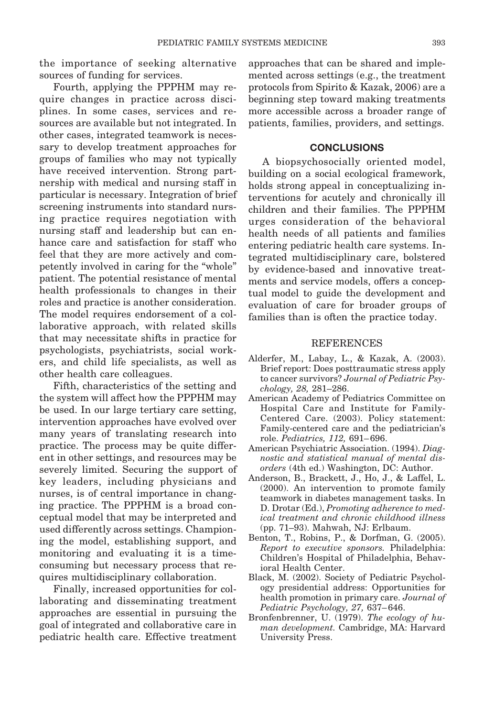the importance of seeking alternative sources of funding for services.

Fourth, applying the PPPHM may require changes in practice across disciplines. In some cases, services and resources are available but not integrated. In other cases, integrated teamwork is necessary to develop treatment approaches for groups of families who may not typically have received intervention. Strong partnership with medical and nursing staff in particular is necessary. Integration of brief screening instruments into standard nursing practice requires negotiation with nursing staff and leadership but can enhance care and satisfaction for staff who feel that they are more actively and competently involved in caring for the "whole" patient. The potential resistance of mental health professionals to changes in their roles and practice is another consideration. The model requires endorsement of a collaborative approach, with related skills that may necessitate shifts in practice for psychologists, psychiatrists, social workers, and child life specialists, as well as other health care colleagues.

Fifth, characteristics of the setting and the system will affect how the PPPHM may be used. In our large tertiary care setting, intervention approaches have evolved over many years of translating research into practice. The process may be quite different in other settings, and resources may be severely limited. Securing the support of key leaders, including physicians and nurses, is of central importance in changing practice. The PPPHM is a broad conceptual model that may be interpreted and used differently across settings. Championing the model, establishing support, and monitoring and evaluating it is a timeconsuming but necessary process that requires multidisciplinary collaboration.

Finally, increased opportunities for collaborating and disseminating treatment approaches are essential in pursuing the goal of integrated and collaborative care in pediatric health care. Effective treatment approaches that can be shared and implemented across settings (e.g., the treatment protocols from Spirito & Kazak, 2006) are a beginning step toward making treatments more accessible across a broader range of patients, families, providers, and settings.

#### **CONCLUSIONS**

A biopsychosocially oriented model, building on a social ecological framework, holds strong appeal in conceptualizing interventions for acutely and chronically ill children and their families. The PPPHM urges consideration of the behavioral health needs of all patients and families entering pediatric health care systems. Integrated multidisciplinary care, bolstered by evidence-based and innovative treatments and service models, offers a conceptual model to guide the development and evaluation of care for broader groups of families than is often the practice today.

#### REFERENCES

- Alderfer, M., Labay, L., & Kazak, A. (2003). Brief report: Does posttraumatic stress apply to cancer survivors? *Journal of Pediatric Psychology, 28,* 281–286.
- American Academy of Pediatrics Committee on Hospital Care and Institute for Family-Centered Care. (2003). Policy statement: Family-centered care and the pediatrician's role. *Pediatrics, 112,* 691– 696.
- American Psychiatric Association. (1994). *Diagnostic and statistical manual of mental disorders* (4th ed.) Washington, DC: Author.
- Anderson, B., Brackett, J., Ho, J., & Laffel, L. (2000). An intervention to promote family teamwork in diabetes management tasks. In D. Drotar (Ed.), *Promoting adherence to medical treatment and chronic childhood illness* (pp. 71–93). Mahwah, NJ: Erlbaum.
- Benton, T., Robins, P., & Dorfman, G. (2005). *Report to executive sponsors.* Philadelphia: Children's Hospital of Philadelphia, Behavioral Health Center.
- Black, M. (2002). Society of Pediatric Psychology presidential address: Opportunities for health promotion in primary care. *Journal of Pediatric Psychology, 27,* 637– 646.
- Bronfenbrenner, U. (1979). *The ecology of human development.* Cambridge, MA: Harvard University Press.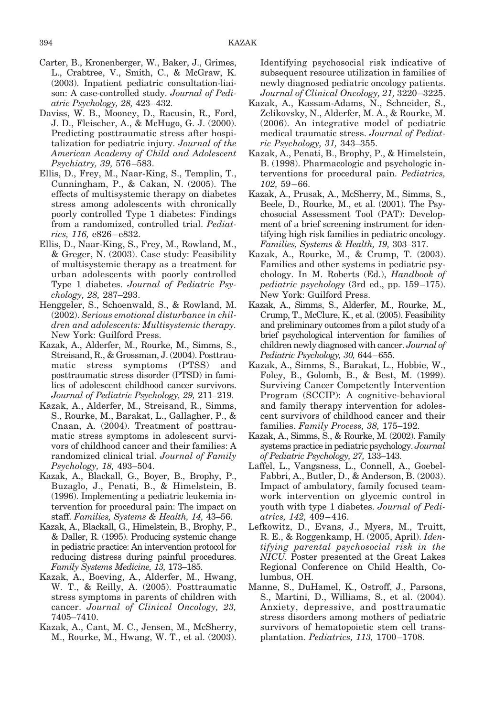- Carter, B., Kronenberger, W., Baker, J., Grimes, L., Crabtree, V., Smith, C., & McGraw, K. (2003). Inpatient pediatric consultation-liaison: A case-controlled study. *Journal of Pediatric Psychology, 28,* 423–432.
- Daviss, W. B., Mooney, D., Racusin, R., Ford, J. D., Fleischer, A., & McHugo, G. J. (2000). Predicting posttraumatic stress after hospitalization for pediatric injury. *Journal of the American Academy of Child and Adolescent Psychiatry, 39,* 576 –583.
- Ellis, D., Frey, M., Naar-King, S., Templin, T., Cunningham, P., & Cakan, N. (2005). The effects of multisystemic therapy on diabetes stress among adolescents with chronically poorly controlled Type 1 diabetes: Findings from a randomized, controlled trial. *Pediatrics, 116,* e826 – e832.
- Ellis, D., Naar-King, S., Frey, M., Rowland, M., & Greger, N. (2003). Case study: Feasibility of multisystemic therapy as a treatment for urban adolescents with poorly controlled Type 1 diabetes. *Journal of Pediatric Psychology, 28,* 287–293.
- Henggeler, S., Schoenwald, S., & Rowland, M. (2002). *Serious emotional disturbance in children and adolescents: Multisystemic therapy.* New York: Guilford Press.
- Kazak, A., Alderfer, M., Rourke, M., Simms, S., Streisand, R., & Grossman, J. (2004). Posttraumatic stress symptoms (PTSS) and posttraumatic stress disorder (PTSD) in families of adolescent childhood cancer survivors. *Journal of Pediatric Psychology, 29,* 211–219.
- Kazak, A., Alderfer, M., Streisand, R., Simms, S., Rourke, M., Barakat, L., Gallagher, P., & Cnaan, A. (2004). Treatment of posttraumatic stress symptoms in adolescent survivors of childhood cancer and their families: A randomized clinical trial. *Journal of Family Psychology, 18,* 493–504.
- Kazak, A., Blackall, G., Boyer, B., Brophy, P., Buzaglo, J., Penati, B., & Himelstein, B. (1996). Implementing a pediatric leukemia intervention for procedural pain: The impact on staff. *Families, Systems & Health, 14,* 43–56.
- Kazak, A., Blackall, G., Himelstein, B., Brophy, P., & Daller, R. (1995). Producing systemic change in pediatric practice: An intervention protocol for reducing distress during painful procedures. *Family Systems Medicine, 13,* 173–185.
- Kazak, A., Boeving, A., Alderfer, M., Hwang, W. T., & Reilly, A. (2005). Posttraumatic stress symptoms in parents of children with cancer. *Journal of Clinical Oncology, 23,* 7405–7410.
- Kazak, A., Cant, M. C., Jensen, M., McSherry, M., Rourke, M., Hwang, W. T., et al. (2003).

Identifying psychosocial risk indicative of subsequent resource utilization in families of newly diagnosed pediatric oncology patients. *Journal of Clinical Oncology, 21,* 3220 –3225.

- Kazak, A., Kassam-Adams, N., Schneider, S., Zelikovsky, N., Alderfer, M. A., & Rourke, M. (2006). An integrative model of pediatric medical traumatic stress. *Journal of Pediatric Psychology, 31,* 343–355.
- Kazak, A., Penati, B., Brophy, P., & Himelstein, B. (1998). Pharmacologic and psychologic interventions for procedural pain. *Pediatrics, 102,* 59 – 66.
- Kazak, A., Prusak, A., McSherry, M., Simms, S., Beele, D., Rourke, M., et al. (2001). The Psychosocial Assessment Tool (PAT): Development of a brief screening instrument for identifying high risk families in pediatric oncology. *Families, Systems & Health, 19,* 303–317.
- Kazak, A., Rourke, M., & Crump, T. (2003). Families and other systems in pediatric psychology. In M. Roberts (Ed.), *Handbook of pediatric psychology* (3rd ed., pp. 159 –175). New York: Guilford Press.
- Kazak, A., Simms, S., Alderfer, M., Rourke, M., Crump, T., McClure, K., et al. (2005). Feasibility and preliminary outcomes from a pilot study of a brief psychological intervention for families of children newly diagnosed with cancer. *Journal of Pediatric Psychology, 30,* 644–655.
- Kazak, A., Simms, S., Barakat, L., Hobbie, W., Foley, B., Golomb, B., & Best, M. (1999). Surviving Cancer Competently Intervention Program (SCCIP): A cognitive-behavioral and family therapy intervention for adolescent survivors of childhood cancer and their families. *Family Process, 38,* 175–192.
- Kazak, A., Simms, S., & Rourke, M. (2002). Family systems practice in pediatric psychology. *Journal of Pediatric Psychology, 27,* 133–143.
- Laffel, L., Vangsness, L., Connell, A., Goebel-Fabbri, A., Butler, D., & Anderson, B. (2003). Impact of ambulatory, family focused teamwork intervention on glycemic control in youth with type 1 diabetes. *Journal of Pediatrics, 142,* 409 – 416.
- Lefkowitz, D., Evans, J., Myers, M., Truitt, R. E., & Roggenkamp, H. (2005, April). *Identifying parental psychosocial risk in the NICU.* Poster presented at the Great Lakes Regional Conference on Child Health, Columbus, OH.
- Manne, S., DuHamel, K., Ostroff, J., Parsons, S., Martini, D., Williams, S., et al. (2004). Anxiety, depressive, and posttraumatic stress disorders among mothers of pediatric survivors of hematopoietic stem cell transplantation. *Pediatrics, 113,* 1700 –1708.